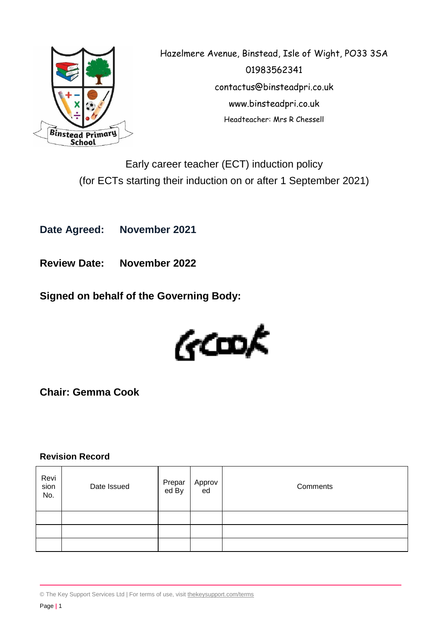

Hazelmere Avenue, Binstead, Isle of Wight, PO33 3SA 01983562341 contactus@binsteadpri.co.uk www.binsteadpri.co.uk Headteacher: Mrs R Chessell

Early career teacher (ECT) induction policy (for ECTs starting their induction on or after 1 September 2021)

**Date Agreed: November 2021**

**Review Date: November 2022**

**Signed on behalf of the Governing Body:**



**Chair: Gemma Cook**

# **Revision Record**

| Revi<br>sion<br>No. | Date Issued | Prepar<br>ed By | Approv<br>ed | Comments |
|---------------------|-------------|-----------------|--------------|----------|
|                     |             |                 |              |          |
|                     |             |                 |              |          |
|                     |             |                 |              |          |

<sup>©</sup> The Key Support Services Ltd | For terms of use, visit [thekeysupport.com/terms](https://thekeysupport.com/terms-of-use)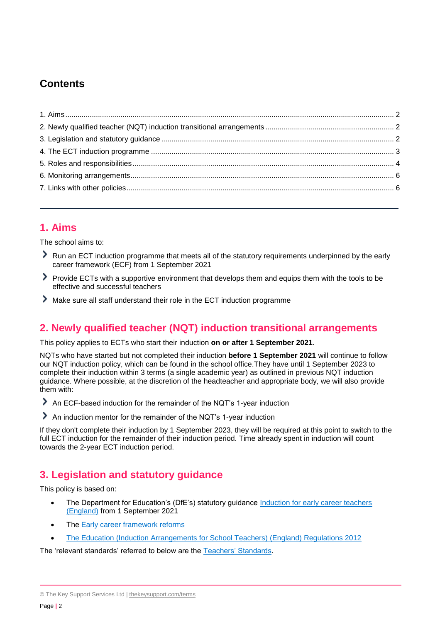# **Contents**

# <span id="page-1-0"></span>**1. Aims**

The school aims to:

- Run an ECT induction programme that meets all of the statutory requirements underpinned by the early career framework (ECF) from 1 September 2021
- Provide ECTs with a supportive environment that develops them and equips them with the tools to be effective and successful teachers
- Make sure all staff understand their role in the ECT induction programme

# <span id="page-1-1"></span>**2. Newly qualified teacher (NQT) induction transitional arrangements**

This policy applies to ECTs who start their induction **on or after 1 September 2021**.

NQTs who have started but not completed their induction **before 1 September 2021** will continue to follow our NQT induction policy, which can be found in the school office.They have until 1 September 2023 to complete their induction within 3 terms (a single academic year) as outlined in previous NQT induction guidance. Where possible, at the discretion of the headteacher and appropriate body, we will also provide them with:

An ECF-based induction for the remainder of the NQT's 1-year induction

An induction mentor for the remainder of the NQT's 1-year induction

If they don't complete their induction by 1 September 2023, they will be required at this point to switch to the full ECT induction for the remainder of their induction period. Time already spent in induction will count towards the 2-year ECT induction period.

# <span id="page-1-2"></span>**3. Legislation and statutory guidance**

This policy is based on:

- The Department for Education's (DfE's) statutory guidance Induction for early career teachers [\(England\)](https://www.gov.uk/government/publications/induction-for-early-career-teachers-england) from 1 September 2021
- The [Early career framework reforms](https://www.gov.uk/government/collections/early-career-framework-reforms)
- [The Education \(Induction Arrangements for School Teachers\) \(England\) Regulations 2012](http://www.legislation.gov.uk/uksi/2012/1115/contents/made)

The 'relevant standards' referred to below are the [Teachers' Standards.](https://www.gov.uk/government/publications/teachers-standards)

<sup>©</sup> The Key Support Services Ltd | [thekeysupport.com/terms](https://thekeysupport.com/terms-of-use)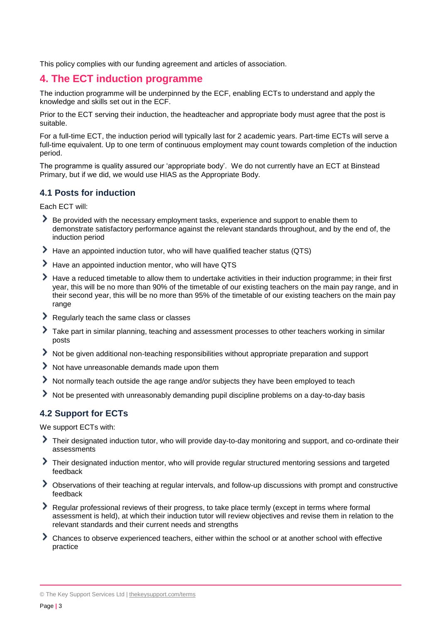This policy complies with our funding agreement and articles of association.

# <span id="page-2-0"></span>**4. The ECT induction programme**

The induction programme will be underpinned by the ECF, enabling ECTs to understand and apply the knowledge and skills set out in the ECF.

Prior to the ECT serving their induction, the headteacher and appropriate body must agree that the post is suitable.

For a full-time ECT, the induction period will typically last for 2 academic years. Part-time ECTs will serve a full-time equivalent. Up to one term of continuous employment may count towards completion of the induction period.

The programme is quality assured our 'appropriate body'. We do not currently have an ECT at Binstead Primary, but if we did, we would use HIAS as the Appropriate Body.

#### **4.1 Posts for induction**

Each ECT will:

- Be provided with the necessary employment tasks, experience and support to enable them to demonstrate satisfactory performance against the relevant standards throughout, and by the end of, the induction period
- Have an appointed induction tutor, who will have qualified teacher status (QTS)
- Have an appointed induction mentor, who will have QTS
- Have a reduced timetable to allow them to undertake activities in their induction programme; in their first year, this will be no more than 90% of the timetable of our existing teachers on the main pay range, and in their second year, this will be no more than 95% of the timetable of our existing teachers on the main pay range
- Regularly teach the same class or classes
- Take part in similar planning, teaching and assessment processes to other teachers working in similar posts
- Not be given additional non-teaching responsibilities without appropriate preparation and support
- Not have unreasonable demands made upon them
- Not normally teach outside the age range and/or subjects they have been employed to teach
- Not be presented with unreasonably demanding pupil discipline problems on a day-to-day basis

# **4.2 Support for ECTs**

We support ECTs with:

- Their designated induction tutor, who will provide day-to-day monitoring and support, and co-ordinate their assessments
- Their designated induction mentor, who will provide regular structured mentoring sessions and targeted feedback
- Observations of their teaching at regular intervals, and follow-up discussions with prompt and constructive feedback
- Regular professional reviews of their progress, to take place termly (except in terms where formal assessment is held), at which their induction tutor will review objectives and revise them in relation to the relevant standards and their current needs and strengths
- Chances to observe experienced teachers, either within the school or at another school with effective practice

<sup>©</sup> The Key Support Services Ltd | [thekeysupport.com/terms](https://thekeysupport.com/terms-of-use)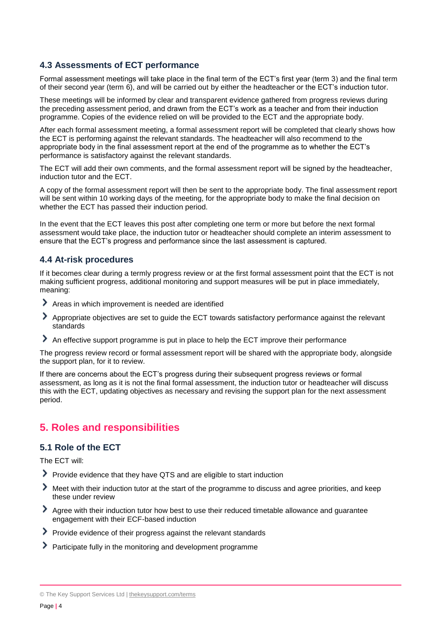### **4.3 Assessments of ECT performance**

Formal assessment meetings will take place in the final term of the ECT's first year (term 3) and the final term of their second year (term 6), and will be carried out by either the headteacher or the ECT's induction tutor.

These meetings will be informed by clear and transparent evidence gathered from progress reviews during the preceding assessment period, and drawn from the ECT's work as a teacher and from their induction programme. Copies of the evidence relied on will be provided to the ECT and the appropriate body.

After each formal assessment meeting, a formal assessment report will be completed that clearly shows how the ECT is performing against the relevant standards. The headteacher will also recommend to the appropriate body in the final assessment report at the end of the programme as to whether the ECT's performance is satisfactory against the relevant standards.

The ECT will add their own comments, and the formal assessment report will be signed by the headteacher, induction tutor and the ECT.

A copy of the formal assessment report will then be sent to the appropriate body. The final assessment report will be sent within 10 working days of the meeting, for the appropriate body to make the final decision on whether the ECT has passed their induction period.

In the event that the ECT leaves this post after completing one term or more but before the next formal assessment would take place, the induction tutor or headteacher should complete an interim assessment to ensure that the ECT's progress and performance since the last assessment is captured.

#### **4.4 At-risk procedures**

If it becomes clear during a termly progress review or at the first formal assessment point that the ECT is not making sufficient progress, additional monitoring and support measures will be put in place immediately, meaning:

- Areas in which improvement is needed are identified
- Appropriate objectives are set to guide the ECT towards satisfactory performance against the relevant standards
- An effective support programme is put in place to help the ECT improve their performance

The progress review record or formal assessment report will be shared with the appropriate body, alongside the support plan, for it to review.

If there are concerns about the ECT's progress during their subsequent progress reviews or formal assessment, as long as it is not the final formal assessment, the induction tutor or headteacher will discuss this with the ECT, updating objectives as necessary and revising the support plan for the next assessment period.

# <span id="page-3-0"></span>**5. Roles and responsibilities**

### **5.1 Role of the ECT**

The ECT will:

- Provide evidence that they have QTS and are eligible to start induction
- Meet with their induction tutor at the start of the programme to discuss and agree priorities, and keep these under review
- Agree with their induction tutor how best to use their reduced timetable allowance and guarantee engagement with their ECF-based induction
- Provide evidence of their progress against the relevant standards
- Participate fully in the monitoring and development programme

© The Key Support Services Ltd | [thekeysupport.com/terms](https://thekeysupport.com/terms-of-use)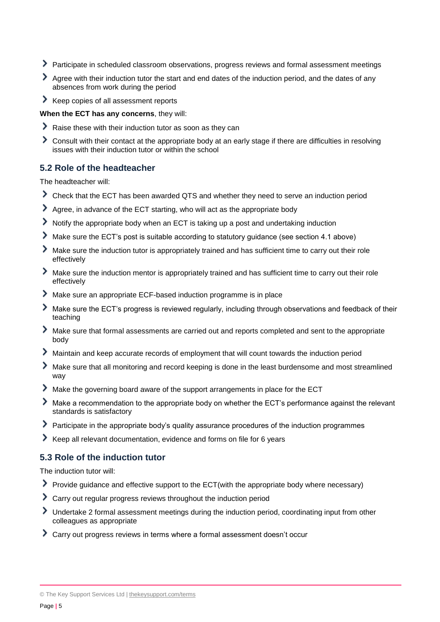- Participate in scheduled classroom observations, progress reviews and formal assessment meetings
- Agree with their induction tutor the start and end dates of the induction period, and the dates of any absences from work during the period
- Keep copies of all assessment reports

**When the ECT has any concerns**, they will:

- Raise these with their induction tutor as soon as they can
- Consult with their contact at the appropriate body at an early stage if there are difficulties in resolving issues with their induction tutor or within the school

#### **5.2 Role of the headteacher**

The headteacher will:

- Check that the ECT has been awarded QTS and whether they need to serve an induction period
- Agree, in advance of the ECT starting, who will act as the appropriate body
- Notify the appropriate body when an ECT is taking up a post and undertaking induction
- Make sure the ECT's post is suitable according to statutory guidance (see section 4.1 above)
- Make sure the induction tutor is appropriately trained and has sufficient time to carry out their role effectively
- Make sure the induction mentor is appropriately trained and has sufficient time to carry out their role effectively
- Make sure an appropriate ECF-based induction programme is in place
- Make sure the ECT's progress is reviewed regularly, including through observations and feedback of their teaching
- Make sure that formal assessments are carried out and reports completed and sent to the appropriate body
- Maintain and keep accurate records of employment that will count towards the induction period
- Make sure that all monitoring and record keeping is done in the least burdensome and most streamlined way
- Make the governing board aware of the support arrangements in place for the ECT
- Make a recommendation to the appropriate body on whether the ECT's performance against the relevant standards is satisfactory
- Participate in the appropriate body's quality assurance procedures of the induction programmes
- Keep all relevant documentation, evidence and forms on file for 6 years

### **5.3 Role of the induction tutor**

The induction tutor will:

- Provide guidance and effective support to the ECT(with the appropriate body where necessary)
- Carry out regular progress reviews throughout the induction period
- Undertake 2 formal assessment meetings during the induction period, coordinating input from other colleagues as appropriate
- Carry out progress reviews in terms where a formal assessment doesn't occur

<sup>©</sup> The Key Support Services Ltd | [thekeysupport.com/terms](https://thekeysupport.com/terms-of-use)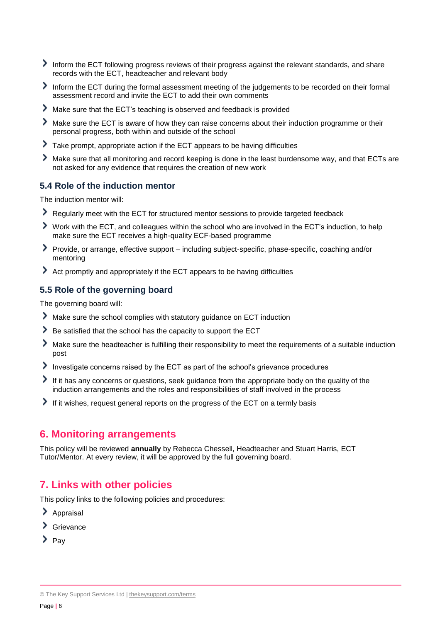- Inform the ECT following progress reviews of their progress against the relevant standards, and share records with the ECT, headteacher and relevant body
- Inform the ECT during the formal assessment meeting of the judgements to be recorded on their formal assessment record and invite the ECT to add their own comments
- Make sure that the ECT's teaching is observed and feedback is provided
- Make sure the ECT is aware of how they can raise concerns about their induction programme or their personal progress, both within and outside of the school
- Take prompt, appropriate action if the ECT appears to be having difficulties
- ⋟ Make sure that all monitoring and record keeping is done in the least burdensome way, and that ECTs are not asked for any evidence that requires the creation of new work

#### **5.4 Role of the induction mentor**

The induction mentor will:

- Regularly meet with the ECT for structured mentor sessions to provide targeted feedback
- Work with the ECT, and colleagues within the school who are involved in the ECT's induction, to help make sure the ECT receives a high-quality ECF-based programme
- Provide, or arrange, effective support including subject-specific, phase-specific, coaching and/or mentoring
- Act promptly and appropriately if the ECT appears to be having difficulties

### **5.5 Role of the governing board**

The governing board will:

- Make sure the school complies with statutory guidance on ECT induction
- $\blacktriangleright$  Be satisfied that the school has the capacity to support the ECT
- Make sure the headteacher is fulfilling their responsibility to meet the requirements of a suitable induction post
- Investigate concerns raised by the ECT as part of the school's grievance procedures
- If it has any concerns or questions, seek guidance from the appropriate body on the quality of the induction arrangements and the roles and responsibilities of staff involved in the process
- If it wishes, request general reports on the progress of the ECT on a termly basis

### <span id="page-5-0"></span>**6. Monitoring arrangements**

This policy will be reviewed **annually** by Rebecca Chessell, Headteacher and Stuart Harris, ECT Tutor/Mentor. At every review, it will be approved by the full governing board.

# <span id="page-5-1"></span>**7. Links with other policies**

This policy links to the following policies and procedures:

- $\blacktriangleright$  Appraisal
- > Grievance
- $\sum_{\text{Pav}}$